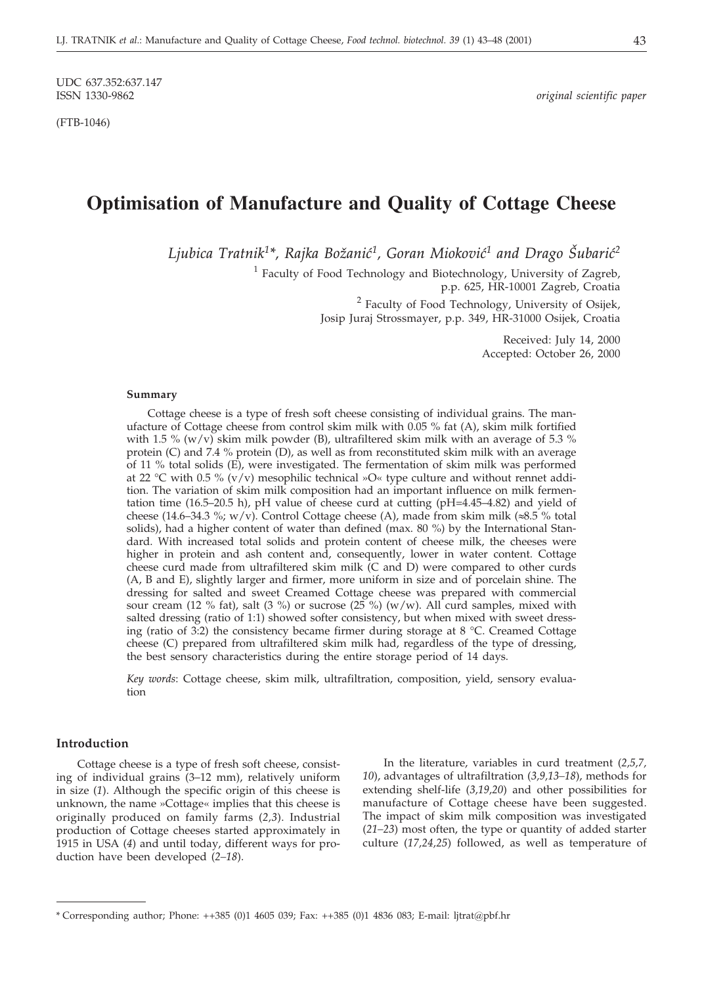UDC 637.352:637.147<br>ISSN 1330-9862

(FTB-1046)

 $original$  scientific paper

# **Optimisation of Manufacture and Quality of Cottage Cheese**

Ljubica Tratnik<sup>1\*</sup>, Rajka Božanić<sup>1</sup>, Goran Mioković<sup>1</sup> and Drago Šubarić<sup>2</sup>

<sup>1</sup> Faculty of Food Technology and Biotechnology, University of Zagreb, p.p. 625, HR-10001 Zagreb, Croatia

> <sup>2</sup> Faculty of Food Technology, University of Osijek, Josip Juraj Strossmayer, p.p. 349, HR-31000 Osijek, Croatia

> > Received: July 14, 2000 Accepted: October 26, 2000

### **Summary**

Cottage cheese is a type of fresh soft cheese consisting of individual grains. The manufacture of Cottage cheese from control skim milk with 0.05 % fat (A), skim milk fortified with 1.5 % (w/v) skim milk powder (B), ultrafiltered skim milk with an average of 5.3 % protein (C) and 7.4 % protein (D), as well as from reconstituted skim milk with an average of 11 % total solids (E), were investigated. The fermentation of skim milk was performed at 22 °C with 0.5 % (v/v) mesophilic technical »O« type culture and without rennet addition. The variation of skim milk composition had an important influence on milk fermentation time (16.5–20.5 h), pH value of cheese curd at cutting (pH=4.45–4.82) and yield of cheese (14.6–34.3 %; w/v). Control Cottage cheese (A), made from skim milk ( $\approx 5\%$  total solids), had a higher content of water than defined (max. 80 %) by the International Standard. With increased total solids and protein content of cheese milk, the cheeses were higher in protein and ash content and, consequently, lower in water content. Cottage cheese curd made from ultrafiltered skim milk (C and D) were compared to other curds (A, B and E), slightly larger and firmer, more uniform in size and of porcelain shine. The dressing for salted and sweet Creamed Cottage cheese was prepared with commercial sour cream (12 % fat), salt (3 %) or sucrose (25 %) (w/w). All curd samples, mixed with salted dressing (ratio of 1:1) showed softer consistency, but when mixed with sweet dressing (ratio of 3:2) the consistency became firmer during storage at 8 °C. Creamed Cottage cheese (C) prepared from ultrafiltered skim milk had, regardless of the type of dressing, the best sensory characteristics during the entire storage period of 14 days.

*Key words*: Cottage cheese, skim milk, ultrafiltration, composition, yield, sensory evaluation

# **Introduction**

Cottage cheese is a type of fresh soft cheese, consisting of individual grains (3–12 mm), relatively uniform in size (*1*). Although the specific origin of this cheese is unknown, the name »Cottage« implies that this cheese is originally produced on family farms (*2,3*). Industrial production of Cottage cheeses started approximately in 1915 in USA (*4*) and until today, different ways for production have been developed (*2–18*).

In the literature, variables in curd treatment (*2,5,7, 10*), advantages of ultrafiltration (*3,9,13–18*), methods for extending shelf-life (*3,19,20*) and other possibilities for manufacture of Cottage cheese have been suggested. The impact of skim milk composition was investigated (*21–23*) most often, the type or quantity of added starter culture (*17,24,25*) followed, as well as temperature of

<sup>\*</sup> Corresponding author; Phone: ++385 (0)1 4605 039; Fax: ++385 (0)1 4836 083; E-mail: ljtrat*@*pbf.hr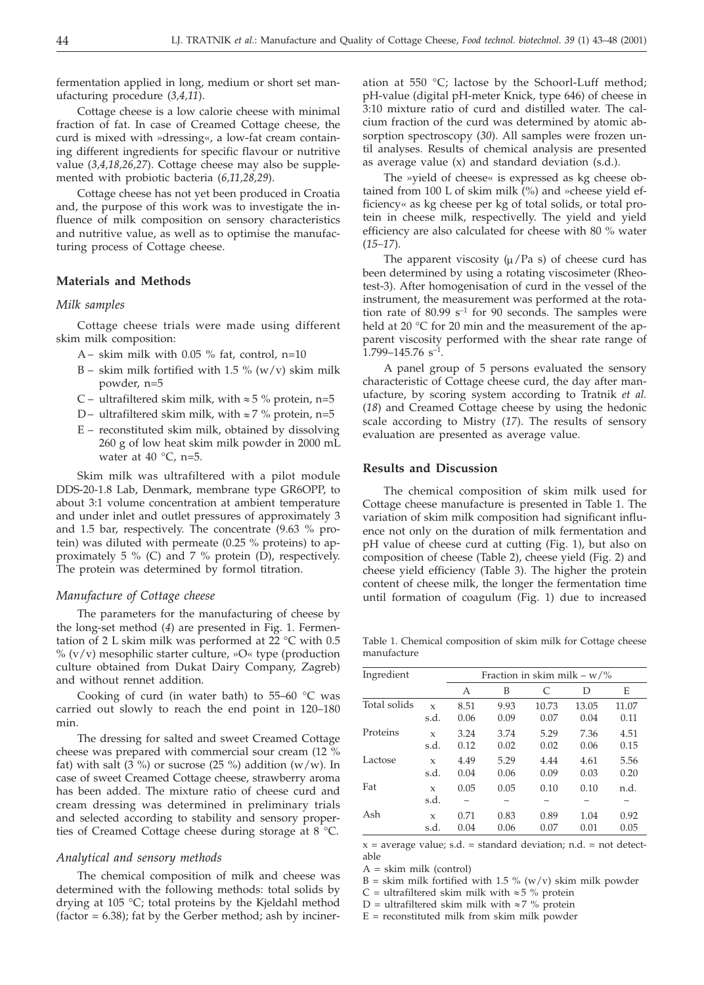fermentation applied in long, medium or short set manufacturing procedure (*3,4,11*).

Cottage cheese is a low calorie cheese with minimal fraction of fat. In case of Creamed Cottage cheese, the curd is mixed with »dressing«, a low-fat cream containing different ingredients for specific flavour or nutritive value (*3,4,18,26,27*). Cottage cheese may also be supplemented with probiotic bacteria (*6,11,28,29*).

Cottage cheese has not yet been produced in Croatia and, the purpose of this work was to investigate the influence of milk composition on sensory characteristics and nutritive value, as well as to optimise the manufacturing process of Cottage cheese.

# **Materials and Methods**

# *Milk samples*

Cottage cheese trials were made using different skim milk composition:

- A skim milk with  $0.05\%$  fat, control, n=10
- B skim milk fortified with 1.5 %  $(w/v)$  skim milk powder, n=5
- C ultrafiltered skim milk, with  $\approx$  5 % protein, n=5
- D ultrafiltered skim milk, with  $\approx$  7 % protein, n=5
- E reconstituted skim milk, obtained by dissolving 260 g of low heat skim milk powder in 2000 mL water at 40  $^{\circ}$ C, n=5.

Skim milk was ultrafiltered with a pilot module DDS-20-1.8 Lab, Denmark, membrane type GR6OPP, to about 3:1 volume concentration at ambient temperature and under inlet and outlet pressures of approximately 3 and 1.5 bar, respectively. The concentrate (9.63 % protein) was diluted with permeate (0.25 % proteins) to approximately 5 % (C) and 7 % protein (D), respectively. The protein was determined by formol titration.

#### *Manufacture of Cottage cheese*

The parameters for the manufacturing of cheese by the long-set method (*4*) are presented in Fig. 1. Fermentation of 2 L skim milk was performed at 22 °C with 0.5  $\%$  (v/v) mesophilic starter culture, »O« type (production culture obtained from Dukat Dairy Company, Zagreb) and without rennet addition.

Cooking of curd (in water bath) to  $55-60$  °C was carried out slowly to reach the end point in 120–180 min.

The dressing for salted and sweet Creamed Cottage cheese was prepared with commercial sour cream (12 % fat) with salt (3 %) or sucrose (25 %) addition (w/w). In case of sweet Creamed Cottage cheese, strawberry aroma has been added. The mixture ratio of cheese curd and cream dressing was determined in preliminary trials and selected according to stability and sensory properties of Creamed Cottage cheese during storage at 8 °C.

# *Analytical and sensory methods*

The chemical composition of milk and cheese was determined with the following methods: total solids by drying at 105 °C; total proteins by the Kjeldahl method  $(factor = 6.38)$ ; fat by the Gerber method; ash by incineration at 550 °C; lactose by the Schoorl-Luff method; pH-value (digital pH-meter Knick, type 646) of cheese in 3:10 mixture ratio of curd and distilled water. The calcium fraction of the curd was determined by atomic absorption spectroscopy (*30*). All samples were frozen until analyses. Results of chemical analysis are presented as average value (x) and standard deviation (s.d.).

The »yield of cheese« is expressed as kg cheese obtained from 100 L of skim milk (%) and »cheese yield efficiency« as kg cheese per kg of total solids, or total protein in cheese milk, respectivelly. The yield and yield efficiency are also calculated for cheese with 80 % water (*15–17*).

The apparent viscosity  $(\mu / Pa s)$  of cheese curd has been determined by using a rotating viscosimeter (Rheotest-3). After homogenisation of curd in the vessel of the instrument, the measurement was performed at the rotation rate of  $80.99$  s<sup>-1</sup> for 90 seconds. The samples were held at 20 °C for 20 min and the measurement of the apparent viscosity performed with the shear rate range of  $1.799 - 145.76$  s<sup>-1</sup>.

A panel group of 5 persons evaluated the sensory characteristic of Cottage cheese curd, the day after manufacture, by scoring system according to Tratnik *et al.* (*18*) and Creamed Cottage cheese by using the hedonic scale according to Mistry (*17*). The results of sensory evaluation are presented as average value.

### **Results and Discussion**

The chemical composition of skim milk used for Cottage cheese manufacture is presented in Table 1. The variation of skim milk composition had significant influence not only on the duration of milk fermentation and pH value of cheese curd at cutting (Fig. 1), but also on composition of cheese (Table 2), cheese yield (Fig. 2) and cheese yield efficiency (Table 3). The higher the protein content of cheese milk, the longer the fermentation time until formation of coagulum (Fig. 1) due to increased

Table 1. Chemical composition of skim milk for Cottage cheese manufacture

| Ingredient   |                     | Fraction in skim milk – $w/\%$ |      |       |       |       |  |  |  |  |  |
|--------------|---------------------|--------------------------------|------|-------|-------|-------|--|--|--|--|--|
|              |                     | А                              | B    | C     | D     | E     |  |  |  |  |  |
| Total solids | X                   | 8.51                           | 9.93 | 10.73 | 13.05 | 11.07 |  |  |  |  |  |
|              | s.d.                | 0.06                           | 0.09 | 0.07  | 0.04  | 0.11  |  |  |  |  |  |
| Proteins     | $\mathbf x$         | 3.24                           | 3.74 | 5.29  | 7.36  | 4.51  |  |  |  |  |  |
|              | s.d.                | 0.12                           | 0.02 | 0.02  | 0.06  | 0.15  |  |  |  |  |  |
| Lactose      | $\mathbf x$         | 4.49                           | 5.29 | 4.44  | 4.61  | 5.56  |  |  |  |  |  |
|              | s.d.                | 0.04                           | 0.06 | 0.09  | 0.03  | 0.20  |  |  |  |  |  |
| Fat          | $\mathbf x$<br>s.d. | 0.05                           | 0.05 | 0.10  | 0.10  | n.d.  |  |  |  |  |  |
| Ash          | $\mathbf x$         | 0.71                           | 0.83 | 0.89  | 1.04  | 0.92  |  |  |  |  |  |
|              | s.d.                | 0.04                           | 0.06 | 0.07  | 0.01  | 0.05  |  |  |  |  |  |

 $x = average value$ ; s.d. = standard deviation; n.d. = not detectable

A = skim milk (control)

 $B =$  skim milk fortified with 1.5 % (w/v) skim milk powder

C = ultrafiltered skim milk with  $\approx$  5 % protein

D = ultrafiltered skim milk with  $\approx$  7 % protein

 $E =$  reconstituted milk from skim milk powder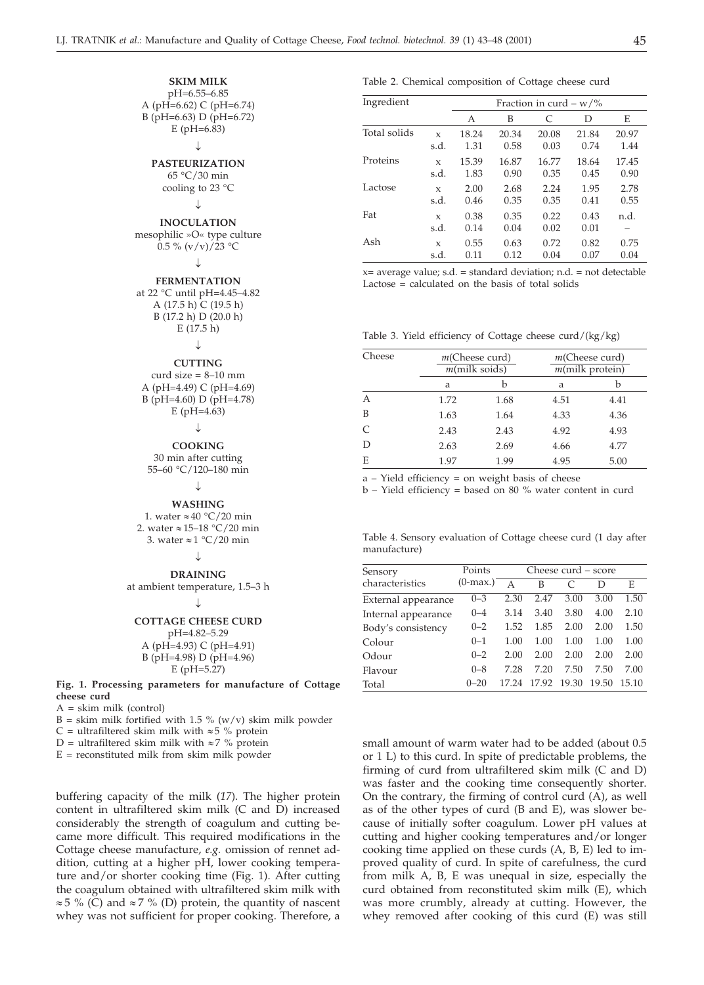# **SKIM MILK**

pH=6.55–6.85 A (pH=6.62) C (pH=6.74) B (pH=6.63) D (pH=6.72) E (pH=6.83)

#### J.

**PASTEURIZATION** 65 °C/30 min cooling to 23 °C

# $\downarrow$

**INOCULATION** mesophilic »O« type culture 0.5 %  $(v/v)/23$  °C

# J.

**FERMENTATION** at 22 °C until pH=4.45–4.82 A  $(17.5 h)$  C  $(19.5 h)$ B (17.2 h) D (20.0 h) E (17.5 h)

# J

# **CUTTING**

curd size  $= 8-10$  mm A (pH=4.49) C (pH=4.69) B (pH=4.60) D (pH=4.78) E (pH=4.63)

# $\downarrow$

**COOKING**

30 min after cutting 55–60 °C/120–180 min

#### J.

**WASHING** 1. water  $\approx 40$  °C/20 min 2. water  $\approx 15-18$  °C/20 min

3. water  $\approx 1$  °C/20 min

#### J

**DRAINING** at ambient temperature, 1.5–3 h

#### ↓

**COTTAGE CHEESE CURD** pH=4.82–5.29 A (pH=4.93) C (pH=4.91) B (pH=4.98) D (pH=4.96) E (pH=5.27)

**Fig. 1. Processing parameters for manufacture of Cottage cheese curd**

A = skim milk (control)

 $B =$  skim milk fortified with 1.5 % (w/v) skim milk powder

C = ultrafiltered skim milk with  $\approx$  5 % protein

D = ultrafiltered skim milk with  $\approx$  7 % protein

 $E =$  reconstituted milk from skim milk powder

buffering capacity of the milk (*17*). The higher protein content in ultrafiltered skim milk (C and D) increased considerably the strength of coagulum and cutting became more difficult. This required modifications in the Cottage cheese manufacture, *e.g.* omission of rennet addition, cutting at a higher pH, lower cooking temperature and/or shorter cooking time (Fig. 1). After cutting the coagulum obtained with ultrafiltered skim milk with  $\approx$  5 % (C) and  $\approx$  7 % (D) protein, the quantity of nascent whey was not sufficient for proper cooking. Therefore, a

# Table 2. Chemical composition of Cottage cheese curd

| Ingredient   |                     | Fraction in curd – $w$ /% |              |              |              |       |  |  |  |  |
|--------------|---------------------|---------------------------|--------------|--------------|--------------|-------|--|--|--|--|
|              |                     | А                         | B            | C            | D            | E     |  |  |  |  |
| Total solids | $\mathbf x$         | 18.24                     | 20.34        | 20.08        | 21.84        | 20.97 |  |  |  |  |
|              | s.d.                | 1.31                      | 0.58         | 0.03         | 0.74         | 1.44  |  |  |  |  |
| Proteins     | $\mathbf x$         | 15.39                     | 16.87        | 16.77        | 18.64        | 17.45 |  |  |  |  |
|              | s.d.                | 1.83                      | 0.90         | 0.35         | 0.45         | 0.90  |  |  |  |  |
| Lactose      | $\mathbf x$         | 2.00                      | 2.68         | 2.24         | 1.95         | 2.78  |  |  |  |  |
|              | s.d.                | 0.46                      | 0.35         | 0.35         | 0.41         | 0.55  |  |  |  |  |
| Fat          | $\mathbf x$<br>s.d. | 0.38<br>0.14              | 0.35<br>0.04 | 0.22<br>0.02 | 0.43<br>0.01 | n.d.  |  |  |  |  |
| Ash          | $\mathbf x$         | 0.55                      | 0.63         | 0.72         | 0.82         | 0.75  |  |  |  |  |
|              | s.d.                | 0.11                      | 0.12         | 0.04         | 0.07         | 0.04  |  |  |  |  |

 $x=$  average value; s.d. = standard deviation; n.d. = not detectable Lactose = calculated on the basis of total solids

|  |  | Table 3. Yield efficiency of Cottage cheese curd/(kg/kg) |  |  |  |  |  |  |  |
|--|--|----------------------------------------------------------|--|--|--|--|--|--|--|
|--|--|----------------------------------------------------------|--|--|--|--|--|--|--|

| Cheese |      | $m$ (Cheese curd)<br>$m$ (milk soids) | $m$ (Cheese curd)<br>$m$ (milk protein) |      |  |  |
|--------|------|---------------------------------------|-----------------------------------------|------|--|--|
|        | a    | h                                     | a                                       | b    |  |  |
| А      | 1.72 | 1.68                                  | 4.51                                    | 4.41 |  |  |
| B      | 1.63 | 1.64                                  | 4.33                                    | 4.36 |  |  |
| C      | 2.43 | 2.43                                  | 4.92                                    | 4.93 |  |  |
| D      | 2.63 | 2.69                                  | 4.66                                    | 4.77 |  |  |
| E      | 1.97 | 1.99                                  | 4.95                                    | 5.00 |  |  |

a – Yield efficiency = on weight basis of cheese

b – Yield efficiency = based on 80 % water content in curd

Table 4. Sensory evaluation of Cottage cheese curd (1 day after manufacture)

| Sensory             | Points      | Cheese curd – score |       |       |       |       |  |  |  |
|---------------------|-------------|---------------------|-------|-------|-------|-------|--|--|--|
| characteristics     | $(0$ -max.) |                     | B     |       | D     | E     |  |  |  |
| External appearance | $0 - 3$     | 2.30                | 2.47  | 3.00  | 3.00  | 1.50  |  |  |  |
| Internal appearance | $0 - 4$     | 3.14                | 3.40  | 3.80  | 4.00  | 2.10  |  |  |  |
| Body's consistency  | $0 - 2$     | 1.52                | 1.85  | 2.00  | 2.00  | 1.50  |  |  |  |
| Colour              | $0 - 1$     | 1.00                | 1.00  | 1.00  | 1.00  | 1.00  |  |  |  |
| Odour               | $0 - 2$     | 2.00                | 2.00  | 2.00  | 2.00  | 2.00  |  |  |  |
| Flavour             | $0 - 8$     | 7.28                | 7.20  | 7.50  | 7.50  | 7.00  |  |  |  |
| Total               | $0 - 20$    | 17 24               | 17.92 | 19.30 | 19.50 | 15.10 |  |  |  |

small amount of warm water had to be added (about 0.5 or 1 L) to this curd. In spite of predictable problems, the firming of curd from ultrafiltered skim milk (C and D) was faster and the cooking time consequently shorter. On the contrary, the firming of control curd (A), as well as of the other types of curd (B and E), was slower because of initially softer coagulum. Lower pH values at cutting and higher cooking temperatures and/or longer cooking time applied on these curds (A, B, E) led to improved quality of curd. In spite of carefulness, the curd from milk A, B, E was unequal in size, especially the curd obtained from reconstituted skim milk (E), which was more crumbly, already at cutting. However, the whey removed after cooking of this curd (E) was still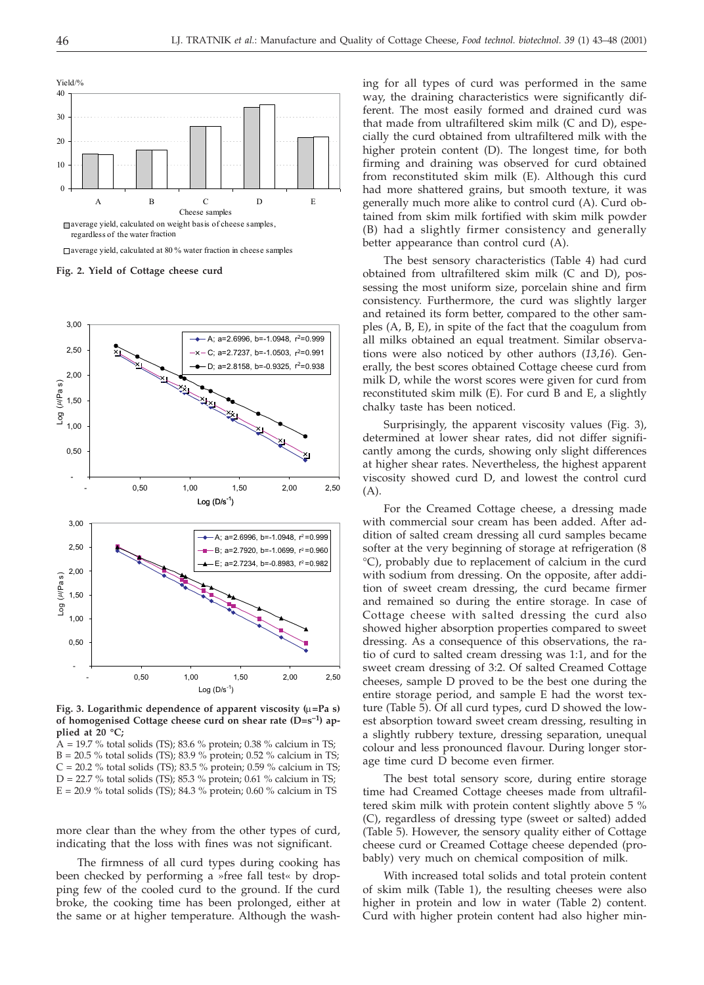

average yield, calculated at 80 % water fraction in cheese samples

**Fig. 2. Yield of Cottage cheese curd**



Fig. 3. Logarithmic dependence of apparent viscosity (u=Pa s) **of homogenised Cottage cheese curd on shear rate (D=s–1) applied at 20 °C;**

 $A = 19.7$  % total solids (TS); 83.6 % protein; 0.38 % calcium in TS; B = 20.5 % total solids (TS); 83.9 % protein; 0.52 % calcium in TS;  $C = 20.2$  % total solids (TS); 83.5 % protein; 0.59 % calcium in TS;  $D = 22.7$  % total solids (TS); 85.3 % protein; 0.61 % calcium in TS;  $E = 20.9$  % total solids (TS); 84.3 % protein; 0.60 % calcium in TS

more clear than the whey from the other types of curd, indicating that the loss with fines was not significant.

The firmness of all curd types during cooking has been checked by performing a »free fall test« by dropping few of the cooled curd to the ground. If the curd broke, the cooking time has been prolonged, either at the same or at higher temperature. Although the washing for all types of curd was performed in the same way, the draining characteristics were significantly different. The most easily formed and drained curd was that made from ultrafiltered skim milk (C and D), especially the curd obtained from ultrafiltered milk with the higher protein content (D). The longest time, for both firming and draining was observed for curd obtained from reconstituted skim milk (E). Although this curd had more shattered grains, but smooth texture, it was generally much more alike to control curd (A). Curd obtained from skim milk fortified with skim milk powder (B) had a slightly firmer consistency and generally better appearance than control curd (A).

The best sensory characteristics (Table 4) had curd obtained from ultrafiltered skim milk (C and D), possessing the most uniform size, porcelain shine and firm consistency. Furthermore, the curd was slightly larger and retained its form better, compared to the other samples (A, B, E), in spite of the fact that the coagulum from all milks obtained an equal treatment. Similar observations were also noticed by other authors (*13,16*). Generally, the best scores obtained Cottage cheese curd from milk D, while the worst scores were given for curd from reconstituted skim milk (E). For curd B and E, a slightly chalky taste has been noticed.

Surprisingly, the apparent viscosity values (Fig. 3), determined at lower shear rates, did not differ significantly among the curds, showing only slight differences at higher shear rates. Nevertheless, the highest apparent viscosity showed curd D, and lowest the control curd (A).

For the Creamed Cottage cheese, a dressing made with commercial sour cream has been added. After addition of salted cream dressing all curd samples became softer at the very beginning of storage at refrigeration (8 °C), probably due to replacement of calcium in the curd with sodium from dressing. On the opposite, after addition of sweet cream dressing, the curd became firmer and remained so during the entire storage. In case of Cottage cheese with salted dressing the curd also showed higher absorption properties compared to sweet dressing. As a consequence of this observations, the ratio of curd to salted cream dressing was 1:1, and for the sweet cream dressing of 3:2. Of salted Creamed Cottage cheeses, sample D proved to be the best one during the entire storage period, and sample E had the worst texture (Table 5). Of all curd types, curd D showed the lowest absorption toward sweet cream dressing, resulting in a slightly rubbery texture, dressing separation, unequal colour and less pronounced flavour. During longer storage time curd D become even firmer.

The best total sensory score, during entire storage time had Creamed Cottage cheeses made from ultrafiltered skim milk with protein content slightly above 5 % (C), regardless of dressing type (sweet or salted) added (Table 5). However, the sensory quality either of Cottage cheese curd or Creamed Cottage cheese depended (probably) very much on chemical composition of milk.

With increased total solids and total protein content of skim milk (Table 1), the resulting cheeses were also higher in protein and low in water (Table 2) content. Curd with higher protein content had also higher min-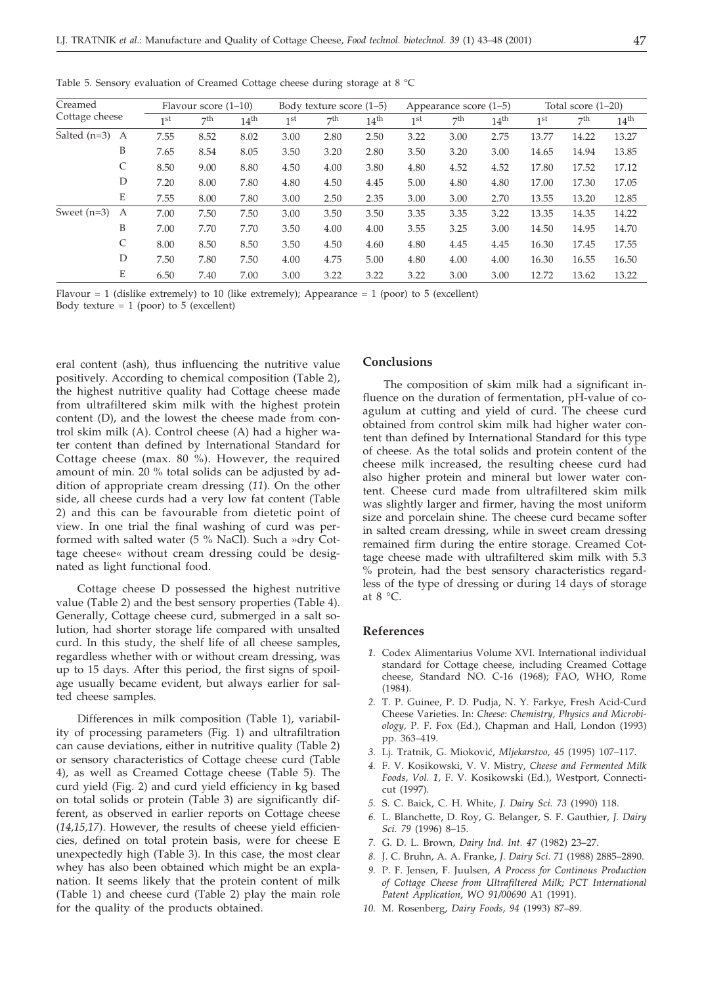| Creamed        |   | Flavour score $(1-10)$ |      |                  |                 | Body texture score (1–5) |                  |                 | Appearance score (1–5) |                  |                 | Total score $(1-20)$ |                  |  |
|----------------|---|------------------------|------|------------------|-----------------|--------------------------|------------------|-----------------|------------------------|------------------|-----------------|----------------------|------------------|--|
| Cottage cheese |   | 1 <sup>st</sup>        | 7th  | 14 <sup>th</sup> | 1 <sup>st</sup> | 7th                      | 14 <sup>th</sup> | 1 <sup>st</sup> | 7 <sup>th</sup>        | 14 <sup>th</sup> | 1 <sup>st</sup> | 7th                  | 14 <sup>th</sup> |  |
| Salted $(n=3)$ | A | 7.55                   | 8.52 | 8.02             | 3.00            | 2.80                     | 2.50             | 3.22            | 3.00                   | 2.75             | 13.77           | 14.22                | 13.27            |  |
|                | B | 7.65                   | 8.54 | 8.05             | 3.50            | 3.20                     | 2.80             | 3.50            | 3.20                   | 3.00             | 14.65           | 14.94                | 13.85            |  |
|                | C | 8.50                   | 9.00 | 8.80             | 4.50            | 4.00                     | 3.80             | 4.80            | 4.52                   | 4.52             | 17.80           | 17.52                | 17.12            |  |
|                | D | 7.20                   | 8.00 | 7.80             | 4.80            | 4.50                     | 4.45             | 5.00            | 4.80                   | 4.80             | 17.00           | 17.30                | 17.05            |  |
|                | Ε | 7.55                   | 8.00 | 7.80             | 3.00            | 2.50                     | 2.35             | 3.00            | 3.00                   | 2.70             | 13.55           | 13.20                | 12.85            |  |
| Sweet $(n=3)$  | А | 7.00                   | 7.50 | 7.50             | 3.00            | 3.50                     | 3.50             | 3.35            | 3.35                   | 3.22             | 13.35           | 14.35                | 14.22            |  |
|                | B | 7.00                   | 7.70 | 7.70             | 3.50            | 4.00                     | 4.00             | 3.55            | 3.25                   | 3.00             | 14.50           | 14.95                | 14.70            |  |
|                | C | 8.00                   | 8.50 | 8.50             | 3.50            | 4.50                     | 4.60             | 4.80            | 4.45                   | 4.45             | 16.30           | 17.45                | 17.55            |  |
|                | D | 7.50                   | 7.80 | 7.50             | 4.00            | 4.75                     | 5.00             | 4.80            | 4.00                   | 4.00             | 16.30           | 16.55                | 16.50            |  |
|                | E | 6.50                   | 7.40 | 7.00             | 3.00            | 3.22                     | 3.22             | 3.22            | 3.00                   | 3.00             | 12.72           | 13.62                | 13.22            |  |

Table 5. Sensory evaluation of Creamed Cottage cheese during storage at 8 °C

Flavour = 1 (dislike extremely) to 10 (like extremely); Appearance = 1 (poor) to 5 (excellent) Body texture = 1 (poor) to 5 (excellent)

eral content (ash), thus influencing the nutritive value positively. According to chemical composition (Table 2), the highest nutritive quality had Cottage cheese made from ultrafiltered skim milk with the highest protein content (D), and the lowest the cheese made from control skim milk (A). Control cheese (A) had a higher water content than defined by International Standard for Cottage cheese (max. 80 %). However, the required amount of min. 20 % total solids can be adjusted by addition of appropriate cream dressing (*11*). On the other side, all cheese curds had a very low fat content (Table 2) and this can be favourable from dietetic point of view. In one trial the final washing of curd was performed with salted water (5 % NaCl). Such a »dry Cottage cheese« without cream dressing could be designated as light functional food.

Cottage cheese D possessed the highest nutritive value (Table 2) and the best sensory properties (Table 4). Generally, Cottage cheese curd, submerged in a salt solution, had shorter storage life compared with unsalted curd. In this study, the shelf life of all cheese samples, regardless whether with or without cream dressing, was up to 15 days. After this period, the first signs of spoilage usually became evident, but always earlier for salted cheese samples.

Differences in milk composition (Table 1), variability of processing parameters (Fig. 1) and ultrafiltration can cause deviations, either in nutritive quality (Table 2) or sensory characteristics of Cottage cheese curd (Table 4), as well as Creamed Cottage cheese (Table 5). The curd yield (Fig. 2) and curd yield efficiency in kg based on total solids or protein (Table 3) are significantly different, as observed in earlier reports on Cottage cheese (*14,15,17*). However, the results of cheese yield efficiencies, defined on total protein basis, were for cheese E unexpectedly high (Table 3). In this case, the most clear whey has also been obtained which might be an explanation. It seems likely that the protein content of milk (Table 1) and cheese curd (Table 2) play the main role for the quality of the products obtained.

# **Conclusions**

The composition of skim milk had a significant influence on the duration of fermentation, pH-value of coagulum at cutting and yield of curd. The cheese curd obtained from control skim milk had higher water content than defined by International Standard for this type of cheese. As the total solids and protein content of the cheese milk increased, the resulting cheese curd had also higher protein and mineral but lower water content. Cheese curd made from ultrafiltered skim milk was slightly larger and firmer, having the most uniform size and porcelain shine. The cheese curd became softer in salted cream dressing, while in sweet cream dressing remained firm during the entire storage. Creamed Cottage cheese made with ultrafiltered skim milk with 5.3 % protein, had the best sensory characteristics regardless of the type of dressing or during 14 days of storage at 8 °C.

# **References**

- *1.* Codex Alimentarius Volume XVI. International individual standard for Cottage cheese, including Creamed Cottage cheese, Standard NO. C-16 (1968); FAO, WHO, Rome (1984).
- *2.* T. P. Guinee, P. D. Pudja, N. Y. Farkye, Fresh Acid-Curd Cheese Varieties. In: *Cheese: Chemistry, Physics and Microbiology,* P. F. Fox (Ed.), Chapman and Hall, London (1993) pp. 363–419.
- *3.* Lj. Tratnik, G. Miokovi}, *Mljekarstvo, 45* (1995) 107–117.
- *4.* F. V. Kosikowski, V. V. Mistry, *Cheese and Fermented Milk Foods*, *Vol. 1,* F. V. Kosikowski (Ed.), Westport, Connecticut (1997).
- *5.* S. C. Baick, C. H. White, *J. Dairy Sci. 73* (1990) 118.
- *6.* L. Blanchette, D. Roy, G. Belanger, S. F. Gauthier, *J. Dairy Sci. 79* (1996) 8–15.
- *7.* G. D. L. Brown, *Dairy Ind. Int. 47* (1982) 23–27.
- *8.* J. C. Bruhn, A. A. Franke, *J. Dairy Sci. 71* (1988) 2885–2890.
- *9.* P. F. Jensen, F. Juulsen, *A Process for Continous Production of Cottage Cheese from Ultrafiltered Milk; PCT International Patent Application, WO 91/00690* A1 (1991).
- *10.* M. Rosenberg, *Dairy Foods, 94* (1993) 87–89.